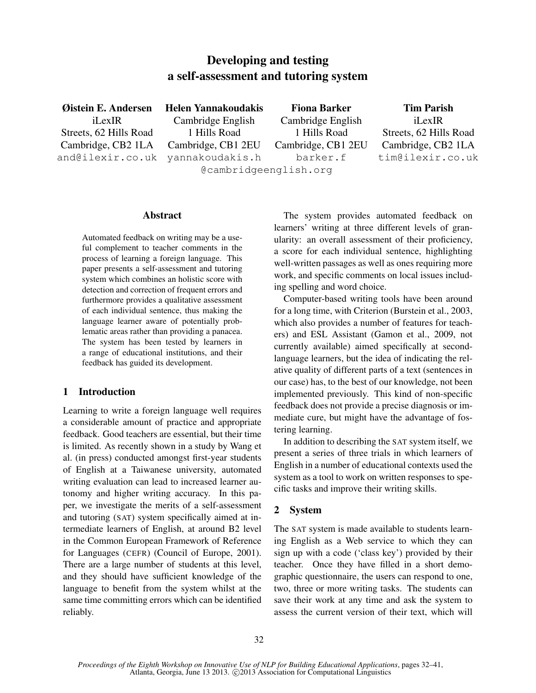# Developing and testing a self-assessment and tutoring system

Øistein E. Andersen iLexIR Streets, 62 Hills Road Cambridge, CB2 1LA and@ilexir.co.uk Helen Yannakoudakis Cambridge English 1 Hills Road Cambridge, CB1 2EU yannakoudakis.h @cambridgeenglish.org

Fiona Barker Cambridge English 1 Hills Road Cambridge, CB1 2EU barker.f

Tim Parish iLexIR Streets, 62 Hills Road Cambridge, CB2 1LA tim@ilexir.co.uk

#### Abstract

Automated feedback on writing may be a useful complement to teacher comments in the process of learning a foreign language. This paper presents a self-assessment and tutoring system which combines an holistic score with detection and correction of frequent errors and furthermore provides a qualitative assessment of each individual sentence, thus making the language learner aware of potentially problematic areas rather than providing a panacea. The system has been tested by learners in a range of educational institutions, and their feedback has guided its development.

### 1 Introduction

Learning to write a foreign language well requires a considerable amount of practice and appropriate feedback. Good teachers are essential, but their time is limited. As recently shown in a study by Wang et al. (in press) conducted amongst first-year students of English at a Taiwanese university, automated writing evaluation can lead to increased learner autonomy and higher writing accuracy. In this paper, we investigate the merits of a self-assessment and tutoring (SAT) system specifically aimed at intermediate learners of English, at around B2 level in the Common European Framework of Reference for Languages (CEFR) (Council of Europe, 2001). There are a large number of students at this level, and they should have sufficient knowledge of the language to benefit from the system whilst at the same time committing errors which can be identified reliably.

The system provides automated feedback on learners' writing at three different levels of granularity: an overall assessment of their proficiency, a score for each individual sentence, highlighting well-written passages as well as ones requiring more work, and specific comments on local issues including spelling and word choice.

Computer-based writing tools have been around for a long time, with Criterion (Burstein et al., 2003, which also provides a number of features for teachers) and ESL Assistant (Gamon et al., 2009, not currently available) aimed specifically at secondlanguage learners, but the idea of indicating the relative quality of different parts of a text (sentences in our case) has, to the best of our knowledge, not been implemented previously. This kind of non-specific feedback does not provide a precise diagnosis or immediate cure, but might have the advantage of fostering learning.

In addition to describing the SAT system itself, we present a series of three trials in which learners of English in a number of educational contexts used the system as a tool to work on written responses to specific tasks and improve their writing skills.

## 2 System

The SAT system is made available to students learning English as a Web service to which they can sign up with a code ('class key') provided by their teacher. Once they have filled in a short demographic questionnaire, the users can respond to one, two, three or more writing tasks. The students can save their work at any time and ask the system to assess the current version of their text, which will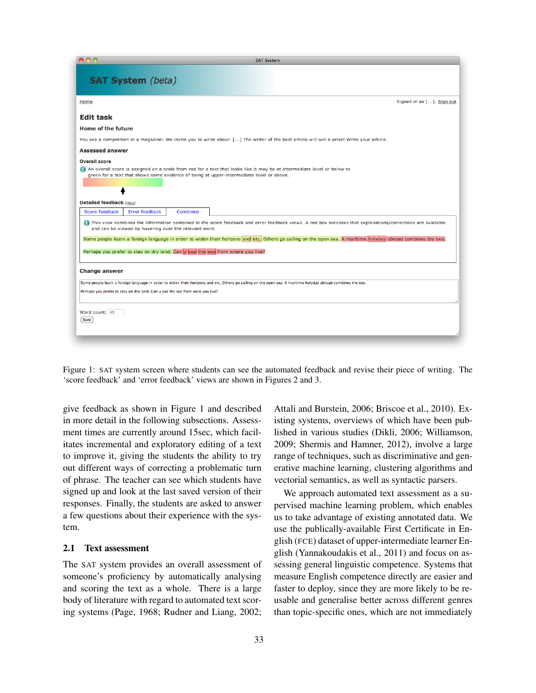| 000<br><b>SAT System</b>                                                                                                                                                                                                                    |  |  |  |
|---------------------------------------------------------------------------------------------------------------------------------------------------------------------------------------------------------------------------------------------|--|--|--|
| <b>SAT System</b> (beta)                                                                                                                                                                                                                    |  |  |  |
| Signed in as []. Sign out<br>Home                                                                                                                                                                                                           |  |  |  |
| <b>Edit task</b>                                                                                                                                                                                                                            |  |  |  |
| <b>Home of the future</b>                                                                                                                                                                                                                   |  |  |  |
| You see a competition in a magazine: We invite you to write about: [] The writer of the best article will win a prize! Write your article.                                                                                                  |  |  |  |
| <b>Assessed answer</b>                                                                                                                                                                                                                      |  |  |  |
| <b>Overall score</b><br>An overall score is assigned on a scale from red for a text that looks like it may be at intermediate level or below to<br>green for a text that shows some evidence of being at upper-intermediate level or above. |  |  |  |
| <b>Detailed feedback (Help)</b>                                                                                                                                                                                                             |  |  |  |
| Score feedback<br>Error feedback<br>Combined                                                                                                                                                                                                |  |  |  |
| This view combines the information contained in the score feedback and error feedback views. A red box indicates that explanations/corrections are available<br>and can be viewed by hovering over the relevant word.                       |  |  |  |
| Some people learn a foreign language in order to widen their horizons and etc. Others go sailing on the open sea. A maritime holyday abroad combines the two.                                                                               |  |  |  |
| Perhaps you prefer to stay on dry land. Can u sea the see from where you live?                                                                                                                                                              |  |  |  |
| <b>Change answer</b>                                                                                                                                                                                                                        |  |  |  |
| Some people learn a foreign language in order to widen their horizons and etc. Others go sailing on the open sea. A maritime holyday abroad combines the too.                                                                               |  |  |  |
| Perhaps you prefer to stay on dry land. Can u sea the see from were you live?                                                                                                                                                               |  |  |  |
| Word count: 45<br><b>Save</b>                                                                                                                                                                                                               |  |  |  |
|                                                                                                                                                                                                                                             |  |  |  |

Figure 1: SAT system screen where students can see the automated feedback and revise their piece of writing. The 'score feedback' and 'error feedback' views are shown in Figures 2 and 3.

give feedback as shown in Figure 1 and described in more detail in the following subsections. Assessment times are currently around 15sec, which facilitates incremental and exploratory editing of a text to improve it, giving the students the ability to try out different ways of correcting a problematic turn of phrase. The teacher can see which students have signed up and look at the last saved version of their responses. Finally, the students are asked to answer a few questions about their experience with the system.

#### 2.1 Text assessment

The SAT system provides an overall assessment of someone's proficiency by automatically analysing and scoring the text as a whole. There is a large body of literature with regard to automated text scoring systems (Page, 1968; Rudner and Liang, 2002;

Attali and Burstein, 2006; Briscoe et al., 2010). Existing systems, overviews of which have been published in various studies (Dikli, 2006; Williamson, 2009; Shermis and Hamner, 2012), involve a large range of techniques, such as discriminative and generative machine learning, clustering algorithms and vectorial semantics, as well as syntactic parsers.

We approach automated text assessment as a supervised machine learning problem, which enables us to take advantage of existing annotated data. We use the publically-available First Certificate in English (FCE) dataset of upper-intermediate learner English (Yannakoudakis et al., 2011) and focus on assessing general linguistic competence. Systems that measure English competence directly are easier and faster to deploy, since they are more likely to be reusable and generalise better across different genres than topic-specific ones, which are not immediately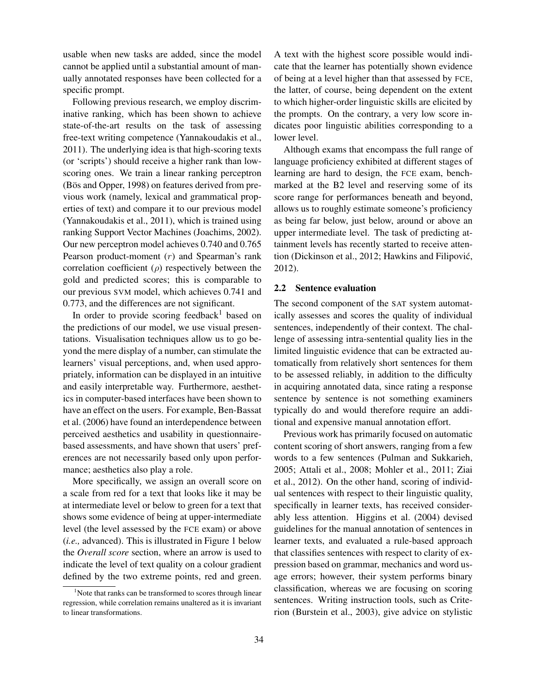usable when new tasks are added, since the model cannot be applied until a substantial amount of manually annotated responses have been collected for a specific prompt.

Following previous research, we employ discriminative ranking, which has been shown to achieve state-of-the-art results on the task of assessing free-text writing competence (Yannakoudakis et al., 2011). The underlying idea is that high-scoring texts (or 'scripts') should receive a higher rank than lowscoring ones. We train a linear ranking perceptron (Bös and Opper, 1998) on features derived from previous work (namely, lexical and grammatical properties of text) and compare it to our previous model (Yannakoudakis et al., 2011), which is trained using ranking Support Vector Machines (Joachims, 2002). Our new perceptron model achieves 0.740 and 0.765 Pearson product-moment (r) and Spearman's rank correlation coefficient  $(\rho)$  respectively between the gold and predicted scores; this is comparable to our previous SVM model, which achieves 0.741 and 0.773, and the differences are not significant.

In order to provide scoring feedback<sup>1</sup> based on the predictions of our model, we use visual presentations. Visualisation techniques allow us to go beyond the mere display of a number, can stimulate the learners' visual perceptions, and, when used appropriately, information can be displayed in an intuitive and easily interpretable way. Furthermore, aesthetics in computer-based interfaces have been shown to have an effect on the users. For example, Ben-Bassat et al. (2006) have found an interdependence between perceived aesthetics and usability in questionnairebased assessments, and have shown that users' preferences are not necessarily based only upon performance; aesthetics also play a role.

More specifically, we assign an overall score on a scale from red for a text that looks like it may be at intermediate level or below to green for a text that shows some evidence of being at upper-intermediate level (the level assessed by the FCE exam) or above (*i.e.,* advanced). This is illustrated in Figure 1 below the *Overall score* section, where an arrow is used to indicate the level of text quality on a colour gradient defined by the two extreme points, red and green. A text with the highest score possible would indicate that the learner has potentially shown evidence of being at a level higher than that assessed by FCE, the latter, of course, being dependent on the extent to which higher-order linguistic skills are elicited by the prompts. On the contrary, a very low score indicates poor linguistic abilities corresponding to a lower level.

Although exams that encompass the full range of language proficiency exhibited at different stages of learning are hard to design, the FCE exam, benchmarked at the B2 level and reserving some of its score range for performances beneath and beyond, allows us to roughly estimate someone's proficiency as being far below, just below, around or above an upper intermediate level. The task of predicting attainment levels has recently started to receive attention (Dickinson et al., 2012; Hawkins and Filipovic,´ 2012).

#### 2.2 Sentence evaluation

The second component of the SAT system automatically assesses and scores the quality of individual sentences, independently of their context. The challenge of assessing intra-sentential quality lies in the limited linguistic evidence that can be extracted automatically from relatively short sentences for them to be assessed reliably, in addition to the difficulty in acquiring annotated data, since rating a response sentence by sentence is not something examiners typically do and would therefore require an additional and expensive manual annotation effort.

Previous work has primarily focused on automatic content scoring of short answers, ranging from a few words to a few sentences (Pulman and Sukkarieh, 2005; Attali et al., 2008; Mohler et al., 2011; Ziai et al., 2012). On the other hand, scoring of individual sentences with respect to their linguistic quality, specifically in learner texts, has received considerably less attention. Higgins et al. (2004) devised guidelines for the manual annotation of sentences in learner texts, and evaluated a rule-based approach that classifies sentences with respect to clarity of expression based on grammar, mechanics and word usage errors; however, their system performs binary classification, whereas we are focusing on scoring sentences. Writing instruction tools, such as Criterion (Burstein et al., 2003), give advice on stylistic

<sup>&</sup>lt;sup>1</sup>Note that ranks can be transformed to scores through linear regression, while correlation remains unaltered as it is invariant to linear transformations.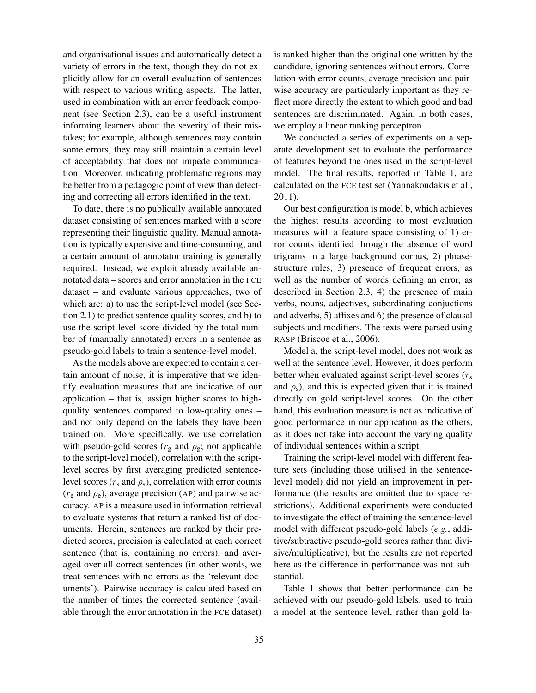and organisational issues and automatically detect a variety of errors in the text, though they do not explicitly allow for an overall evaluation of sentences with respect to various writing aspects. The latter, used in combination with an error feedback component (see Section 2.3), can be a useful instrument informing learners about the severity of their mistakes; for example, although sentences may contain some errors, they may still maintain a certain level of acceptability that does not impede communication. Moreover, indicating problematic regions may be better from a pedagogic point of view than detecting and correcting all errors identified in the text.

To date, there is no publically available annotated dataset consisting of sentences marked with a score representing their linguistic quality. Manual annotation is typically expensive and time-consuming, and a certain amount of annotator training is generally required. Instead, we exploit already available annotated data – scores and error annotation in the FCE dataset – and evaluate various approaches, two of which are: a) to use the script-level model (see Section 2.1) to predict sentence quality scores, and b) to use the script-level score divided by the total number of (manually annotated) errors in a sentence as pseudo-gold labels to train a sentence-level model.

As the models above are expected to contain a certain amount of noise, it is imperative that we identify evaluation measures that are indicative of our application – that is, assign higher scores to highquality sentences compared to low-quality ones – and not only depend on the labels they have been trained on. More specifically, we use correlation with pseudo-gold scores ( $r_g$  and  $\rho_g$ ; not applicable to the script-level model), correlation with the scriptlevel scores by first averaging predicted sentencelevel scores ( $r_s$  and  $\rho_s$ ), correlation with error counts  $(r_e$  and  $\rho_e$ ), average precision (AP) and pairwise accuracy. AP is a measure used in information retrieval to evaluate systems that return a ranked list of documents. Herein, sentences are ranked by their predicted scores, precision is calculated at each correct sentence (that is, containing no errors), and averaged over all correct sentences (in other words, we treat sentences with no errors as the 'relevant documents'). Pairwise accuracy is calculated based on the number of times the corrected sentence (available through the error annotation in the FCE dataset)

is ranked higher than the original one written by the candidate, ignoring sentences without errors. Correlation with error counts, average precision and pairwise accuracy are particularly important as they reflect more directly the extent to which good and bad sentences are discriminated. Again, in both cases, we employ a linear ranking perceptron.

We conducted a series of experiments on a separate development set to evaluate the performance of features beyond the ones used in the script-level model. The final results, reported in Table 1, are calculated on the FCE test set (Yannakoudakis et al., 2011).

Our best configuration is model b, which achieves the highest results according to most evaluation measures with a feature space consisting of 1) error counts identified through the absence of word trigrams in a large background corpus, 2) phrasestructure rules, 3) presence of frequent errors, as well as the number of words defining an error, as described in Section 2.3, 4) the presence of main verbs, nouns, adjectives, subordinating conjuctions and adverbs, 5) affixes and 6) the presence of clausal subjects and modifiers. The texts were parsed using RASP (Briscoe et al., 2006).

Model a, the script-level model, does not work as well at the sentence level. However, it does perform better when evaluated against script-level scores  $(r<sub>s</sub>)$ and  $\rho_s$ ), and this is expected given that it is trained directly on gold script-level scores. On the other hand, this evaluation measure is not as indicative of good performance in our application as the others, as it does not take into account the varying quality of individual sentences within a script.

Training the script-level model with different feature sets (including those utilised in the sentencelevel model) did not yield an improvement in performance (the results are omitted due to space restrictions). Additional experiments were conducted to investigate the effect of training the sentence-level model with different pseudo-gold labels (*e.g.*, additive/subtractive pseudo-gold scores rather than divisive/multiplicative), but the results are not reported here as the difference in performance was not substantial.

Table 1 shows that better performance can be achieved with our pseudo-gold labels, used to train a model at the sentence level, rather than gold la-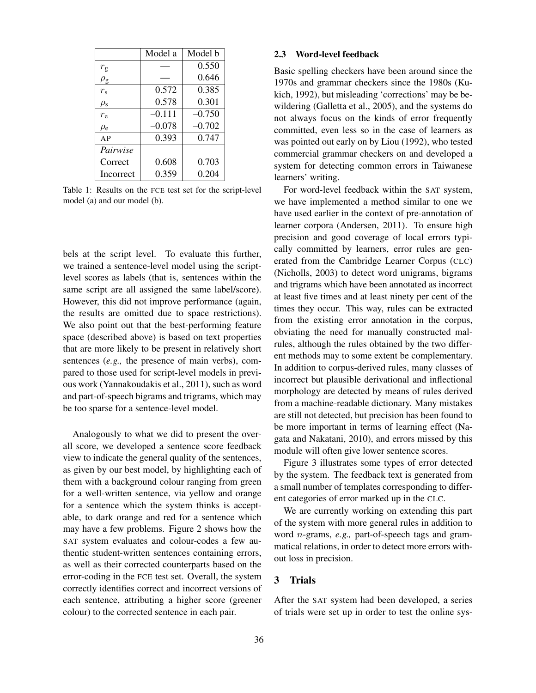|                     | Model a  | Model b  |
|---------------------|----------|----------|
| $r_{\rm g}$         |          | 0.550    |
| $\rho_{\texttt{g}}$ |          | 0.646    |
| $r_{\rm s}$         | 0.572    | 0.385    |
| $\rho_{\rm s}$      | 0.578    | 0.301    |
| $r_{\rm e}$         | $-0.111$ | $-0.750$ |
| $\rho_e$            | $-0.078$ | $-0.702$ |
| AP                  | 0.393    | 0.747    |
| Pairwise            |          |          |
| Correct             | 0.608    | 0.703    |
| Incorrect           | 0.359    | 0.204    |

Table 1: Results on the FCE test set for the script-level model (a) and our model (b).

bels at the script level. To evaluate this further, we trained a sentence-level model using the scriptlevel scores as labels (that is, sentences within the same script are all assigned the same label/score). However, this did not improve performance (again, the results are omitted due to space restrictions). We also point out that the best-performing feature space (described above) is based on text properties that are more likely to be present in relatively short sentences (*e.g.,* the presence of main verbs), compared to those used for script-level models in previous work (Yannakoudakis et al., 2011), such as word and part-of-speech bigrams and trigrams, which may be too sparse for a sentence-level model.

Analogously to what we did to present the overall score, we developed a sentence score feedback view to indicate the general quality of the sentences, as given by our best model, by highlighting each of them with a background colour ranging from green for a well-written sentence, via yellow and orange for a sentence which the system thinks is acceptable, to dark orange and red for a sentence which may have a few problems. Figure 2 shows how the SAT system evaluates and colour-codes a few authentic student-written sentences containing errors, as well as their corrected counterparts based on the error-coding in the FCE test set. Overall, the system correctly identifies correct and incorrect versions of each sentence, attributing a higher score (greener colour) to the corrected sentence in each pair.

#### 2.3 Word-level feedback

Basic spelling checkers have been around since the 1970s and grammar checkers since the 1980s (Kukich, 1992), but misleading 'corrections' may be bewildering (Galletta et al., 2005), and the systems do not always focus on the kinds of error frequently committed, even less so in the case of learners as was pointed out early on by Liou (1992), who tested commercial grammar checkers on and developed a system for detecting common errors in Taiwanese learners' writing.

For word-level feedback within the SAT system, we have implemented a method similar to one we have used earlier in the context of pre-annotation of learner corpora (Andersen, 2011). To ensure high precision and good coverage of local errors typically committed by learners, error rules are generated from the Cambridge Learner Corpus (CLC) (Nicholls, 2003) to detect word unigrams, bigrams and trigrams which have been annotated as incorrect at least five times and at least ninety per cent of the times they occur. This way, rules can be extracted from the existing error annotation in the corpus, obviating the need for manually constructed malrules, although the rules obtained by the two different methods may to some extent be complementary. In addition to corpus-derived rules, many classes of incorrect but plausible derivational and inflectional morphology are detected by means of rules derived from a machine-readable dictionary. Many mistakes are still not detected, but precision has been found to be more important in terms of learning effect (Nagata and Nakatani, 2010), and errors missed by this module will often give lower sentence scores.

Figure 3 illustrates some types of error detected by the system. The feedback text is generated from a small number of templates corresponding to different categories of error marked up in the CLC.

We are currently working on extending this part of the system with more general rules in addition to word n-grams, *e.g.,* part-of-speech tags and grammatical relations, in order to detect more errors without loss in precision.

#### 3 Trials

After the SAT system had been developed, a series of trials were set up in order to test the online sys-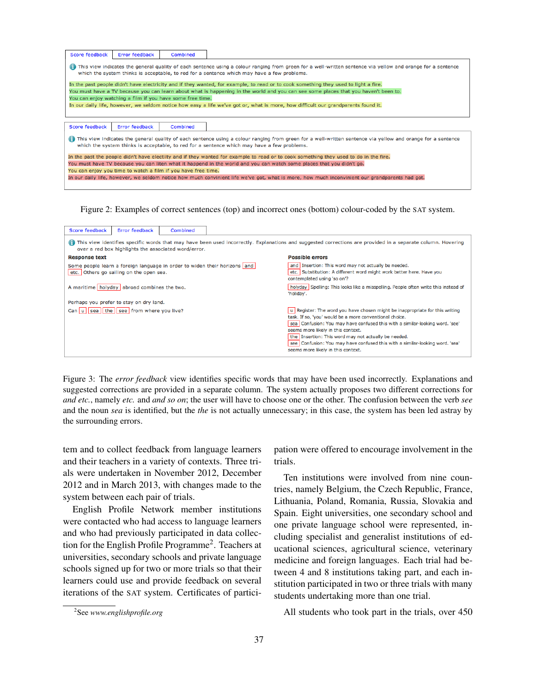| Score feedback                                                                                                                                                                                                                                             | Error feedback | Combined                                                  |                                                                                                                                     |
|------------------------------------------------------------------------------------------------------------------------------------------------------------------------------------------------------------------------------------------------------------|----------------|-----------------------------------------------------------|-------------------------------------------------------------------------------------------------------------------------------------|
| This view indicates the general quality of each sentence using a colour ranging from green for a well-written sentence via yellow and orange for a sentence<br>which the system thinks is acceptable, to red for a sentence which may have a few problems. |                |                                                           |                                                                                                                                     |
|                                                                                                                                                                                                                                                            |                |                                                           | In the past people didn't have electricity and if they wanted, for example, to read or to cook something they used to light a fire. |
|                                                                                                                                                                                                                                                            |                |                                                           | You must have a TV because you can learn about what is happening in the world and you can see some places that you haven't been to. |
|                                                                                                                                                                                                                                                            |                | You can enjoy watching a film if you have some free time. |                                                                                                                                     |
|                                                                                                                                                                                                                                                            |                |                                                           | In our daily life, however, we seldom notice how easy a life we've got or, what is more, how difficult our grandparents found it.   |
|                                                                                                                                                                                                                                                            |                |                                                           |                                                                                                                                     |
| Score feedback                                                                                                                                                                                                                                             | Error feedback | Combined                                                  |                                                                                                                                     |
| This view indicates the general quality of each sentence using a colour ranging from green for a well-written sentence via yellow and orange for a sentence<br>which the system thinks is acceptable, to red for a sentence which may have a few problems. |                |                                                           |                                                                                                                                     |
| In the past the people didn't have electiity and if they wanted for example to read or to cook something they used to do in the fire.                                                                                                                      |                |                                                           |                                                                                                                                     |
| You must have TV because you can liten what it happend in the world and you can watch some places that you didn't go.                                                                                                                                      |                |                                                           |                                                                                                                                     |
| You can enjoy you time to watch a film if you have free time.                                                                                                                                                                                              |                |                                                           |                                                                                                                                     |
| In our daily life, however, we seldom notice how much convinient life we've got, what is more, how much inconvinient our grandparents had got.                                                                                                             |                |                                                           |                                                                                                                                     |
|                                                                                                                                                                                                                                                            |                |                                                           |                                                                                                                                     |

Figure 2: Examples of correct sentences (top) and incorrect ones (bottom) colour-coded by the SAT system.

|                                             | Score feedback       | Error feedback                                         | Combined                                                                                          |                                                                           |                                                                                                                                                                                                                                                                                                                                                                                                                                             |
|---------------------------------------------|----------------------|--------------------------------------------------------|---------------------------------------------------------------------------------------------------|---------------------------------------------------------------------------|---------------------------------------------------------------------------------------------------------------------------------------------------------------------------------------------------------------------------------------------------------------------------------------------------------------------------------------------------------------------------------------------------------------------------------------------|
|                                             | m                    |                                                        | over a red box highlights the associated word/error.                                              |                                                                           | This view identifies specific words that may have been used incorrectly. Explanations and suggested corrections are provided in a separate column. Hovering                                                                                                                                                                                                                                                                                 |
|                                             | <b>Response text</b> |                                                        |                                                                                                   |                                                                           | <b>Possible errors</b>                                                                                                                                                                                                                                                                                                                                                                                                                      |
|                                             |                      | etc. Others go sailing on the open sea.                |                                                                                                   | Some people learn a foreign language in order to widen their horizons and | and Insertion: This word may not actually be needed.<br>etc. Substitution: A different word might work better here. Have you<br>contemplated using 'so on'?                                                                                                                                                                                                                                                                                 |
| A maritime holyday abroad combines the two. |                      |                                                        | holyday Spelling: This looks like a misspelling. People often write this instead of<br>'holiday'. |                                                                           |                                                                                                                                                                                                                                                                                                                                                                                                                                             |
|                                             |                      | Perhaps you prefer to stay on dry land.                |                                                                                                   |                                                                           |                                                                                                                                                                                                                                                                                                                                                                                                                                             |
|                                             |                      | Can   u     sea     the     see   from where you live? |                                                                                                   |                                                                           | u Register: The word you have chosen might be inappropriate for this writing<br>task. If so, 'you' would be a more conventional choice.<br>sea Confusion: You may have confused this with a similar-looking word. 'see'<br>seems more likely in this context.<br>the Insertion: This word may not actually be needed.<br>see Confusion: You may have confused this with a similar-looking word. 'sea'<br>seems more likely in this context. |

Figure 3: The *error feedback* view identifies specific words that may have been used incorrectly. Explanations and suggested corrections are provided in a separate column. The system actually proposes two different corrections for *and etc.*, namely *etc.* and *and so on*; the user will have to choose one or the other. The confusion between the verb *see* and the noun *sea* is identified, but the *the* is not actually unnecessary; in this case, the system has been led astray by the surrounding errors.

tem and to collect feedback from language learners and their teachers in a variety of contexts. Three trials were undertaken in November 2012, December 2012 and in March 2013, with changes made to the system between each pair of trials.

English Profile Network member institutions were contacted who had access to language learners and who had previously participated in data collection for the English Profile Programme<sup>2</sup>. Teachers at universities, secondary schools and private language schools signed up for two or more trials so that their learners could use and provide feedback on several iterations of the SAT system. Certificates of participation were offered to encourage involvement in the trials.

Ten institutions were involved from nine countries, namely Belgium, the Czech Republic, France, Lithuania, Poland, Romania, Russia, Slovakia and Spain. Eight universities, one secondary school and one private language school were represented, including specialist and generalist institutions of educational sciences, agricultural science, veterinary medicine and foreign languages. Each trial had between 4 and 8 institutions taking part, and each institution participated in two or three trials with many students undertaking more than one trial.

All students who took part in the trials, over 450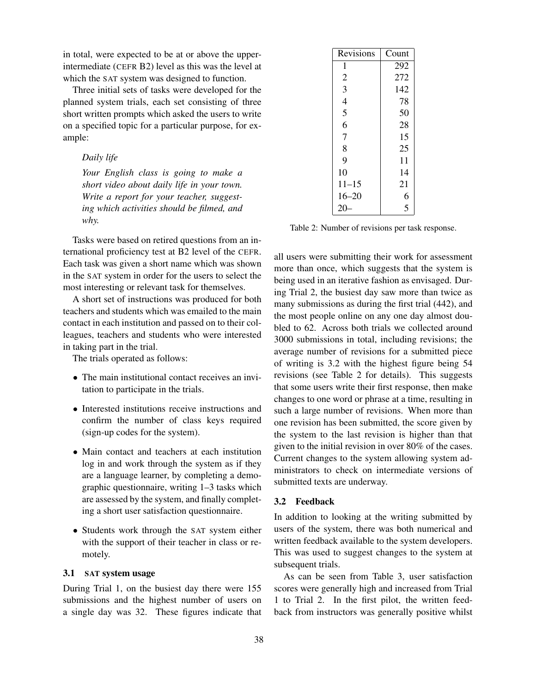in total, were expected to be at or above the upperintermediate (CEFR B2) level as this was the level at which the SAT system was designed to function.

Three initial sets of tasks were developed for the planned system trials, each set consisting of three short written prompts which asked the users to write on a specified topic for a particular purpose, for example:

*Daily life*

*Your English class is going to make a short video about daily life in your town. Write a report for your teacher, suggesting which activities should be filmed, and why.*

Tasks were based on retired questions from an international proficiency test at B2 level of the CEFR. Each task was given a short name which was shown in the SAT system in order for the users to select the most interesting or relevant task for themselves.

A short set of instructions was produced for both teachers and students which was emailed to the main contact in each institution and passed on to their colleagues, teachers and students who were interested in taking part in the trial.

The trials operated as follows:

- The main institutional contact receives an invitation to participate in the trials.
- Interested institutions receive instructions and confirm the number of class keys required (sign-up codes for the system).
- Main contact and teachers at each institution log in and work through the system as if they are a language learner, by completing a demographic questionnaire, writing 1–3 tasks which are assessed by the system, and finally completing a short user satisfaction questionnaire.
- Students work through the SAT system either with the support of their teacher in class or remotely.

#### 3.1 SAT system usage

During Trial 1, on the busiest day there were 155 submissions and the highest number of users on a single day was 32. These figures indicate that

| Revisions      | Count |
|----------------|-------|
| 1              | 292   |
| $\overline{2}$ | 272   |
| 3              | 142   |
| $\overline{4}$ | 78    |
| 5              | 50    |
| 6              | 28    |
| $\overline{7}$ | 15    |
| 8              | 25    |
| 9              | 11    |
| 10             | 14    |
| $11 - 15$      | 21    |
| $16 - 20$      | 6     |
| 20             | 5     |

Table 2: Number of revisions per task response.

all users were submitting their work for assessment more than once, which suggests that the system is being used in an iterative fashion as envisaged. During Trial 2, the busiest day saw more than twice as many submissions as during the first trial (442), and the most people online on any one day almost doubled to 62. Across both trials we collected around 3000 submissions in total, including revisions; the average number of revisions for a submitted piece of writing is 3.2 with the highest figure being 54 revisions (see Table 2 for details). This suggests that some users write their first response, then make changes to one word or phrase at a time, resulting in such a large number of revisions. When more than one revision has been submitted, the score given by the system to the last revision is higher than that given to the initial revision in over 80% of the cases. Current changes to the system allowing system administrators to check on intermediate versions of submitted texts are underway.

#### 3.2 Feedback

In addition to looking at the writing submitted by users of the system, there was both numerical and written feedback available to the system developers. This was used to suggest changes to the system at subsequent trials.

As can be seen from Table 3, user satisfaction scores were generally high and increased from Trial 1 to Trial 2. In the first pilot, the written feedback from instructors was generally positive whilst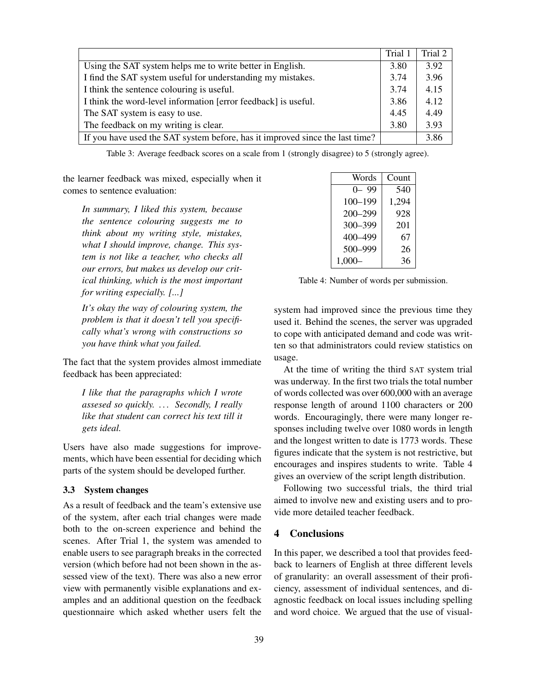|                                                                              | Trial 1 | Trial 2 $\vert$ |
|------------------------------------------------------------------------------|---------|-----------------|
| Using the SAT system helps me to write better in English.                    | 3.80    | 3.92            |
| I find the SAT system useful for understanding my mistakes.                  | 3.74    | 3.96            |
| I think the sentence colouring is useful.                                    | 3.74    | 4.15            |
| I think the word-level information [error feedback] is useful.               | 3.86    | 4.12            |
| The SAT system is easy to use.                                               | 4.45    | 4.49            |
| The feedback on my writing is clear.                                         | 3.80    | 3.93            |
| If you have used the SAT system before, has it improved since the last time? |         | 3.86            |

Table 3: Average feedback scores on a scale from 1 (strongly disagree) to 5 (strongly agree).

the learner feedback was mixed, especially when it comes to sentence evaluation:

*In summary, I liked this system, because the sentence colouring suggests me to think about my writing style, mistakes, what I should improve, change. This system is not like a teacher, who checks all our errors, but makes us develop our critical thinking, which is the most important for writing especially. [...]*

*It's okay the way of colouring system, the problem is that it doesn't tell you specifically what's wrong with constructions so you have think what you failed.*

The fact that the system provides almost immediate feedback has been appreciated:

*I like that the paragraphs which I wrote assesed so quickly. . . . Secondly, I really like that student can correct his text till it gets ideal.*

Users have also made suggestions for improvements, which have been essential for deciding which parts of the system should be developed further.

#### 3.3 System changes

As a result of feedback and the team's extensive use of the system, after each trial changes were made both to the on-screen experience and behind the scenes. After Trial 1, the system was amended to enable users to see paragraph breaks in the corrected version (which before had not been shown in the assessed view of the text). There was also a new error view with permanently visible explanations and examples and an additional question on the feedback questionnaire which asked whether users felt the

| Words       | Count |
|-------------|-------|
| $0 - 99$    | 540   |
| $100 - 199$ | 1,294 |
| $200 - 299$ | 928   |
| 300-399     | 201   |
| 400-499     | 67    |
| 500-999     | 26    |
| $1,000 -$   | 36    |

Table 4: Number of words per submission.

system had improved since the previous time they used it. Behind the scenes, the server was upgraded to cope with anticipated demand and code was written so that administrators could review statistics on usage.

At the time of writing the third SAT system trial was underway. In the first two trials the total number of words collected was over 600,000 with an average response length of around 1100 characters or 200 words. Encouragingly, there were many longer responses including twelve over 1080 words in length and the longest written to date is 1773 words. These figures indicate that the system is not restrictive, but encourages and inspires students to write. Table 4 gives an overview of the script length distribution.

Following two successful trials, the third trial aimed to involve new and existing users and to provide more detailed teacher feedback.

### 4 Conclusions

In this paper, we described a tool that provides feedback to learners of English at three different levels of granularity: an overall assessment of their proficiency, assessment of individual sentences, and diagnostic feedback on local issues including spelling and word choice. We argued that the use of visual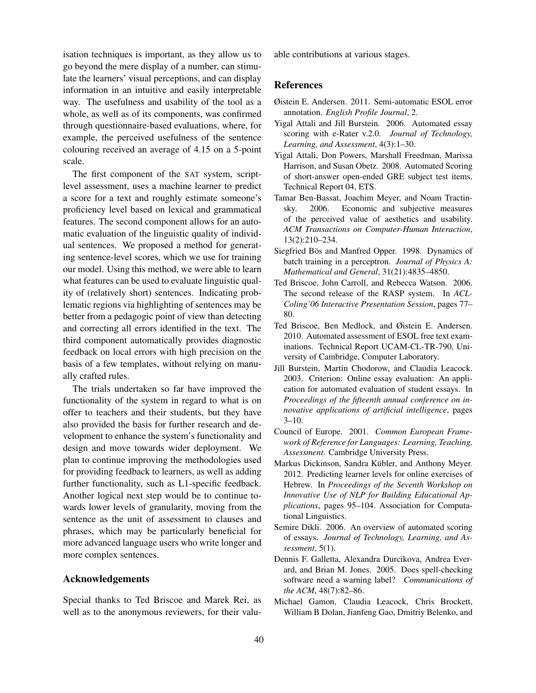isation techniques is important, as they allow us to go beyond the mere display of a number, can stimulate the learners' visual perceptions, and can display information in an intuitive and easily interpretable way. The usefulness and usability of the tool as a whole, as well as of its components, was confirmed through questionnaire-based evaluations, where, for example, the perceived usefulness of the sentence colouring received an average of 4.15 on a 5-point scale.

The first component of the SAT system, scriptlevel assessment, uses a machine learner to predict a score for a text and roughly estimate someone's proficiency level based on lexical and grammatical features. The second component allows for an automatic evaluation of the linguistic quality of individual sentences. We proposed a method for generating sentence-level scores, which we use for training our model. Using this method, we were able to learn what features can be used to evaluate linguistic quality of (relatively short) sentences. Indicating problematic regions via highlighting of sentences may be better from a pedagogic point of view than detecting and correcting all errors identified in the text. The third component automatically provides diagnostic feedback on local errors with high precision on the basis of a few templates, without relying on manually crafted rules.

The trials undertaken so far have improved the functionality of the system in regard to what is on offer to teachers and their students, but they have also provided the basis for further research and development to enhance the system's functionality and design and move towards wider deployment. We plan to continue improving the methodologies used for providing feedback to learners, as well as adding further functionality, such as L1-specific feedback. Another logical next step would be to continue towards lower levels of granularity, moving from the sentence as the unit of assessment to clauses and phrases, which may be particularly beneficial for more advanced language users who write longer and more complex sentences.

# Acknowledgements

Special thanks to Ted Briscoe and Marek Rei, as well as to the anonymous reviewers, for their valuable contributions at various stages.

#### References

- Øistein E. Andersen. 2011. Semi-automatic ESOL error annotation. *English Profile Journal*, 2.
- Yigal Attali and Jill Burstein. 2006. Automated essay scoring with e-Rater v.2.0. *Journal of Technology, Learning, and Assessment*, 4(3):1–30.
- Yigal Attali, Don Powers, Marshall Freedman, Marissa Harrison, and Susan Obetz. 2008. Automated Scoring of short-answer open-ended GRE subject test items. Technical Report 04, ETS.
- Tamar Ben-Bassat, Joachim Meyer, and Noam Tractinsky. 2006. Economic and subjective measures of the perceived value of aesthetics and usability. *ACM Transactions on Computer-Human Interaction*, 13(2):210–234.
- Siegfried Bös and Manfred Opper. 1998. Dynamics of batch training in a perceptron. *Journal of Physics A: Mathematical and General*, 31(21):4835–4850.
- Ted Briscoe, John Carroll, and Rebecca Watson. 2006. The second release of the RASP system. In *ACL-Coling'06 Interactive Presentation Session*, pages 77– 80.
- Ted Briscoe, Ben Medlock, and Øistein E. Andersen. 2010. Automated assessment of ESOL free text examinations. Technical Report UCAM-CL-TR-790, University of Cambridge, Computer Laboratory.
- Jill Burstein, Martin Chodorow, and Claudia Leacock. 2003. Criterion: Online essay evaluation: An application for automated evaluation of student essays. In *Proceedings of the fifteenth annual conference on innovative applications of artificial intelligence*, pages  $3-10$ .
- Council of Europe. 2001. *Common European Framework of Reference for Languages: Learning, Teaching, Assessment*. Cambridge University Press.
- Markus Dickinson, Sandra Kübler, and Anthony Meyer. 2012. Predicting learner levels for online exercises of Hebrew. In *Proceedings of the Seventh Workshop on Innovative Use of NLP for Building Educational Applications*, pages 95–104. Association for Computational Linguistics.
- Semire Dikli. 2006. An overview of automated scoring of essays. *Journal of Technology, Learning, and Assessment*, 5(1).
- Dennis F. Galletta, Alexandra Durcikova, Andrea Everard, and Brian M. Jones. 2005. Does spell-checking software need a warning label? *Communications of the ACM*, 48(7):82–86.
- Michael Gamon, Claudia Leacock, Chris Brockett, William B Dolan, Jianfeng Gao, Dmitriy Belenko, and